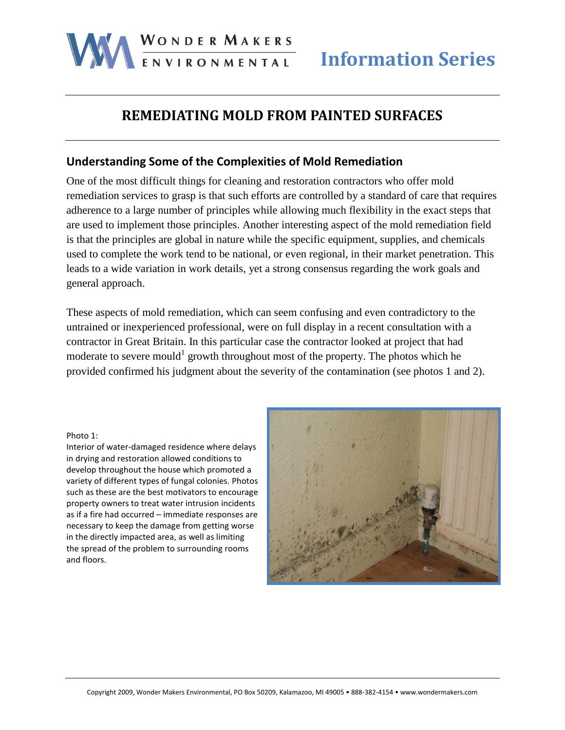

# **REMEDIATING MOLD FROM PAINTED SURFACES**

### **Understanding Some of the Complexities of Mold Remediation**

One of the most difficult things for cleaning and restoration contractors who offer mold remediation services to grasp is that such efforts are controlled by a standard of care that requires adherence to a large number of principles while allowing much flexibility in the exact steps that are used to implement those principles. Another interesting aspect of the mold remediation field is that the principles are global in nature while the specific equipment, supplies, and chemicals used to complete the work tend to be national, or even regional, in their market penetration. This leads to a wide variation in work details, yet a strong consensus regarding the work goals and general approach.

These aspects of mold remediation, which can seem confusing and even contradictory to the untrained or inexperienced professional, were on full display in a recent consultation with a contractor in Great Britain. In this particular case the contractor looked at project that had moderate to severe mould<sup>1</sup> growth throughout most of the property. The photos which he provided confirmed his judgment about the severity of the contamination (see photos 1 and 2).

#### Photo 1:

Interior of water-damaged residence where delays in drying and restoration allowed conditions to develop throughout the house which promoted a variety of different types of fungal colonies. Photos such as these are the best motivators to encourage property owners to treat water intrusion incidents as if a fire had occurred – immediate responses are necessary to keep the damage from getting worse in the directly impacted area, as well as limiting the spread of the problem to surrounding rooms and floors.

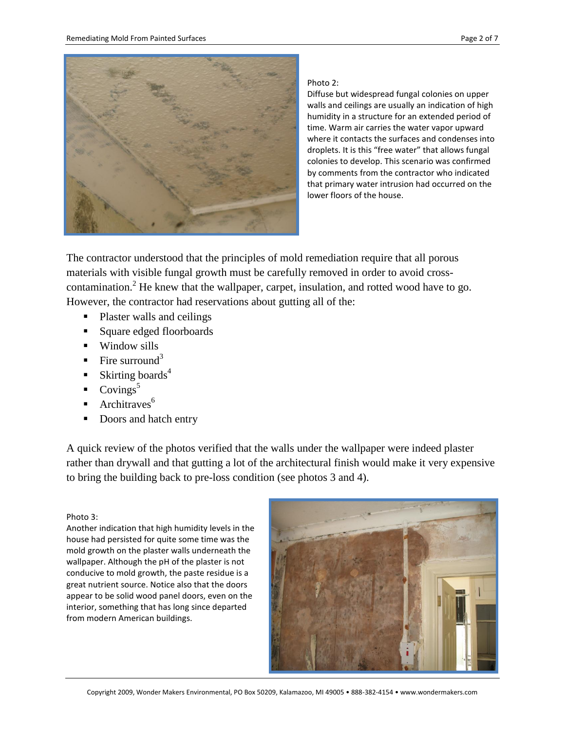

#### Photo 2:

Diffuse but widespread fungal colonies on upper walls and ceilings are usually an indication of high humidity in a structure for an extended period of time. Warm air carries the water vapor upward where it contacts the surfaces and condenses into droplets. It is this "free water" that allows fungal colonies to develop. This scenario was confirmed by comments from the contractor who indicated that primary water intrusion had occurred on the lower floors of the house.

The contractor understood that the principles of mold remediation require that all porous materials with visible fungal growth must be carefully removed in order to avoid crosscontamination.<sup>2</sup> He knew that the wallpaper, carpet, insulation, and rotted wood have to go. However, the contractor had reservations about gutting all of the:

- Plaster walls and ceilings
- Square edged floorboards
- $\blacksquare$  Window sills
- Fire surround<sup>3</sup>
- Skirting boards<sup>4</sup>
- $\sim$  Covings<sup>5</sup>
- $\blacksquare$  Architraves<sup>6</sup>
- Doors and hatch entry

A quick review of the photos verified that the walls under the wallpaper were indeed plaster rather than drywall and that gutting a lot of the architectural finish would make it very expensive to bring the building back to pre-loss condition (see photos 3 and 4).

#### Photo 3:

Another indication that high humidity levels in the house had persisted for quite some time was the mold growth on the plaster walls underneath the wallpaper. Although the pH of the plaster is not conducive to mold growth, the paste residue is a great nutrient source. Notice also that the doors appear to be solid wood panel doors, even on the interior, something that has long since departed from modern American buildings.

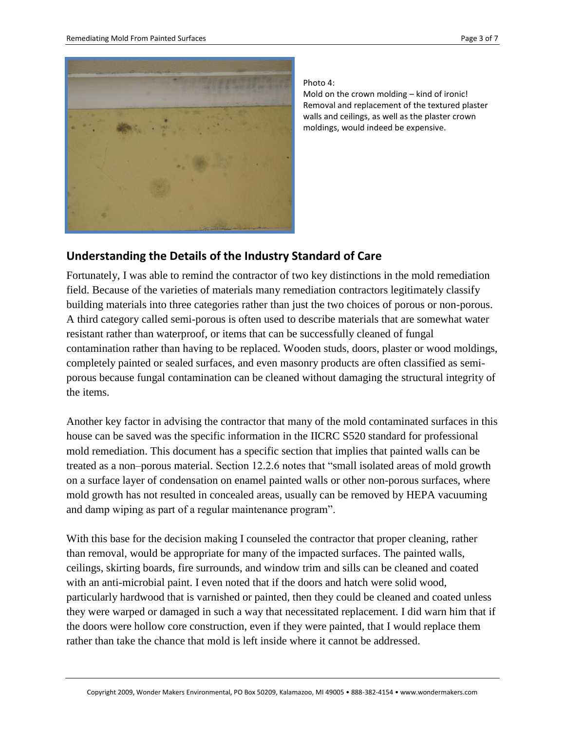

Photo 4:

Mold on the crown molding – kind of ironic! Removal and replacement of the textured plaster walls and ceilings, as well as the plaster crown moldings, would indeed be expensive.

### **Understanding the Details of the Industry Standard of Care**

Fortunately, I was able to remind the contractor of two key distinctions in the mold remediation field. Because of the varieties of materials many remediation contractors legitimately classify building materials into three categories rather than just the two choices of porous or non-porous. A third category called semi-porous is often used to describe materials that are somewhat water resistant rather than waterproof, or items that can be successfully cleaned of fungal contamination rather than having to be replaced. Wooden studs, doors, plaster or wood moldings, completely painted or sealed surfaces, and even masonry products are often classified as semiporous because fungal contamination can be cleaned without damaging the structural integrity of the items.

Another key factor in advising the contractor that many of the mold contaminated surfaces in this house can be saved was the specific information in the IICRC S520 standard for professional mold remediation. This document has a specific section that implies that painted walls can be treated as a non–porous material. Section 12.2.6 notes that "small isolated areas of mold growth on a surface layer of condensation on enamel painted walls or other non-porous surfaces, where mold growth has not resulted in concealed areas, usually can be removed by HEPA vacuuming and damp wiping as part of a regular maintenance program".

With this base for the decision making I counseled the contractor that proper cleaning, rather than removal, would be appropriate for many of the impacted surfaces. The painted walls, ceilings, skirting boards, fire surrounds, and window trim and sills can be cleaned and coated with an anti-microbial paint. I even noted that if the doors and hatch were solid wood, particularly hardwood that is varnished or painted, then they could be cleaned and coated unless they were warped or damaged in such a way that necessitated replacement. I did warn him that if the doors were hollow core construction, even if they were painted, that I would replace them rather than take the chance that mold is left inside where it cannot be addressed.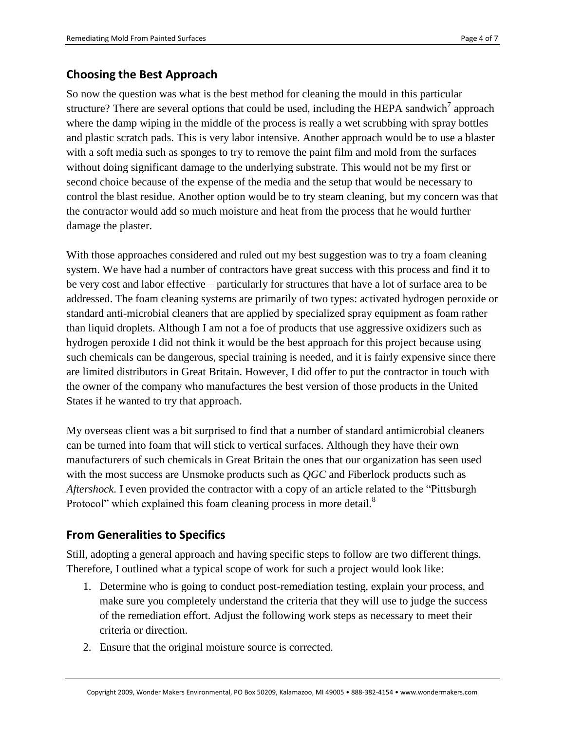# **Choosing the Best Approach**

So now the question was what is the best method for cleaning the mould in this particular structure? There are several options that could be used, including the HEPA sandwich<sup>7</sup> approach where the damp wiping in the middle of the process is really a wet scrubbing with spray bottles and plastic scratch pads. This is very labor intensive. Another approach would be to use a blaster with a soft media such as sponges to try to remove the paint film and mold from the surfaces without doing significant damage to the underlying substrate. This would not be my first or second choice because of the expense of the media and the setup that would be necessary to control the blast residue. Another option would be to try steam cleaning, but my concern was that the contractor would add so much moisture and heat from the process that he would further damage the plaster.

With those approaches considered and ruled out my best suggestion was to try a foam cleaning system. We have had a number of contractors have great success with this process and find it to be very cost and labor effective – particularly for structures that have a lot of surface area to be addressed. The foam cleaning systems are primarily of two types: activated hydrogen peroxide or standard anti-microbial cleaners that are applied by specialized spray equipment as foam rather than liquid droplets. Although I am not a foe of products that use aggressive oxidizers such as hydrogen peroxide I did not think it would be the best approach for this project because using such chemicals can be dangerous, special training is needed, and it is fairly expensive since there are limited distributors in Great Britain. However, I did offer to put the contractor in touch with the owner of the company who manufactures the best version of those products in the United States if he wanted to try that approach.

My overseas client was a bit surprised to find that a number of standard antimicrobial cleaners can be turned into foam that will stick to vertical surfaces. Although they have their own manufacturers of such chemicals in Great Britain the ones that our organization has seen used with the most success are Unsmoke products such as *QGC* and Fiberlock products such as *Aftershock*. I even provided the contractor with a copy of an article related to the "Pittsburgh Protocol" which explained this foam cleaning process in more detail.<sup>8</sup>

## **From Generalities to Specifics**

Still, adopting a general approach and having specific steps to follow are two different things. Therefore, I outlined what a typical scope of work for such a project would look like:

- 1. Determine who is going to conduct post-remediation testing, explain your process, and make sure you completely understand the criteria that they will use to judge the success of the remediation effort. Adjust the following work steps as necessary to meet their criteria or direction.
- 2. Ensure that the original moisture source is corrected.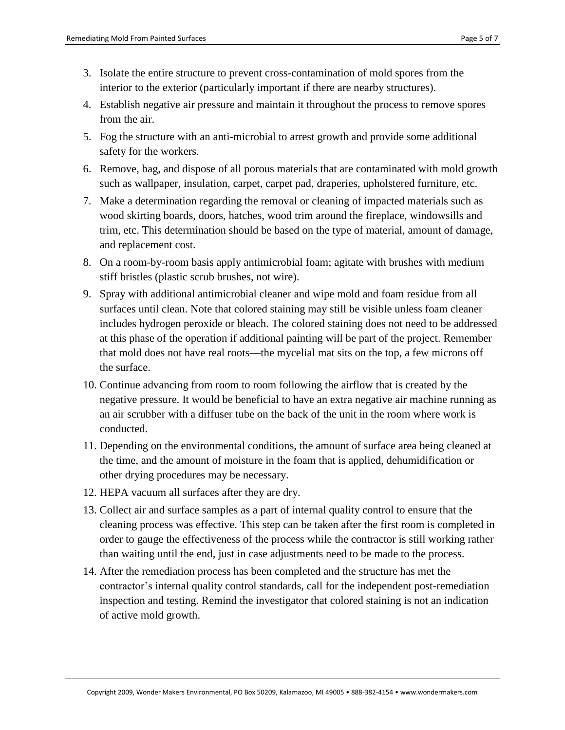- 3. Isolate the entire structure to prevent cross-contamination of mold spores from the interior to the exterior (particularly important if there are nearby structures).
- 4. Establish negative air pressure and maintain it throughout the process to remove spores from the air.
- 5. Fog the structure with an anti-microbial to arrest growth and provide some additional safety for the workers.
- 6. Remove, bag, and dispose of all porous materials that are contaminated with mold growth such as wallpaper, insulation, carpet, carpet pad, draperies, upholstered furniture, etc.
- 7. Make a determination regarding the removal or cleaning of impacted materials such as wood skirting boards, doors, hatches, wood trim around the fireplace, windowsills and trim, etc. This determination should be based on the type of material, amount of damage, and replacement cost.
- 8. On a room-by-room basis apply antimicrobial foam; agitate with brushes with medium stiff bristles (plastic scrub brushes, not wire).
- 9. Spray with additional antimicrobial cleaner and wipe mold and foam residue from all surfaces until clean. Note that colored staining may still be visible unless foam cleaner includes hydrogen peroxide or bleach. The colored staining does not need to be addressed at this phase of the operation if additional painting will be part of the project. Remember that mold does not have real roots—the mycelial mat sits on the top, a few microns off the surface.
- 10. Continue advancing from room to room following the airflow that is created by the negative pressure. It would be beneficial to have an extra negative air machine running as an air scrubber with a diffuser tube on the back of the unit in the room where work is conducted.
- 11. Depending on the environmental conditions, the amount of surface area being cleaned at the time, and the amount of moisture in the foam that is applied, dehumidification or other drying procedures may be necessary.
- 12. HEPA vacuum all surfaces after they are dry.
- 13. Collect air and surface samples as a part of internal quality control to ensure that the cleaning process was effective. This step can be taken after the first room is completed in order to gauge the effectiveness of the process while the contractor is still working rather than waiting until the end, just in case adjustments need to be made to the process.
- 14. After the remediation process has been completed and the structure has met the contractor's internal quality control standards, call for the independent post-remediation inspection and testing. Remind the investigator that colored staining is not an indication of active mold growth.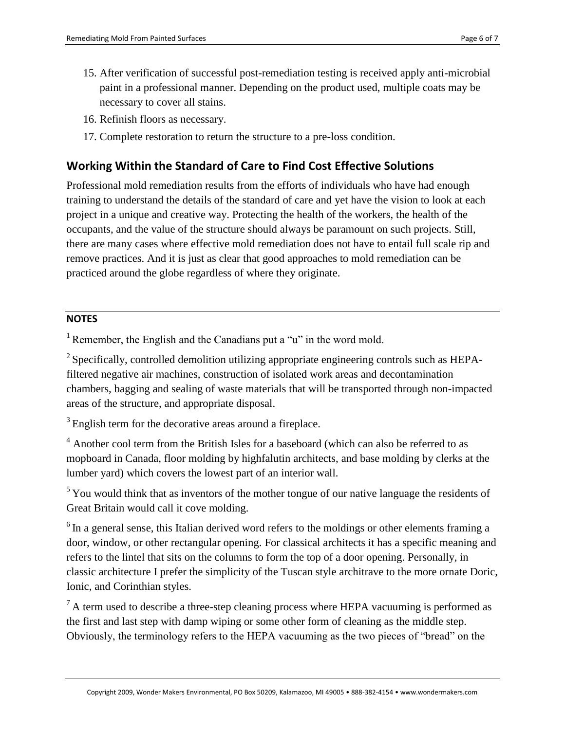- 15. After verification of successful post-remediation testing is received apply anti-microbial paint in a professional manner. Depending on the product used, multiple coats may be necessary to cover all stains.
- 16. Refinish floors as necessary.
- 17. Complete restoration to return the structure to a pre-loss condition.

### **Working Within the Standard of Care to Find Cost Effective Solutions**

Professional mold remediation results from the efforts of individuals who have had enough training to understand the details of the standard of care and yet have the vision to look at each project in a unique and creative way. Protecting the health of the workers, the health of the occupants, and the value of the structure should always be paramount on such projects. Still, there are many cases where effective mold remediation does not have to entail full scale rip and remove practices. And it is just as clear that good approaches to mold remediation can be practiced around the globe regardless of where they originate.

#### **NOTES**

<sup>1</sup> Remember, the English and the Canadians put a " $u$ " in the word mold.

 $2$  Specifically, controlled demolition utilizing appropriate engineering controls such as HEPAfiltered negative air machines, construction of isolated work areas and decontamination chambers, bagging and sealing of waste materials that will be transported through non-impacted areas of the structure, and appropriate disposal.

<sup>3</sup> English term for the decorative areas around a fireplace.

<sup>4</sup> Another cool term from the British Isles for a baseboard (which can also be referred to as mopboard in Canada, floor molding by highfalutin architects, and base molding by clerks at the lumber yard) which covers the lowest part of an interior wall.

 $5$ You would think that as inventors of the mother tongue of our native language the residents of Great Britain would call it cove molding.

 $6$  In a general sense, this Italian derived word refers to the moldings or other elements framing a door, window, or other rectangular opening. For classical architects it has a specific meaning and refers to the lintel that sits on the columns to form the top of a door opening. Personally, in classic architecture I prefer the simplicity of the Tuscan style architrave to the more ornate Doric, Ionic, and Corinthian styles.

 $<sup>7</sup>$  A term used to describe a three-step cleaning process where HEPA vacuuming is performed as</sup> the first and last step with damp wiping or some other form of cleaning as the middle step. Obviously, the terminology refers to the HEPA vacuuming as the two pieces of "bread" on the